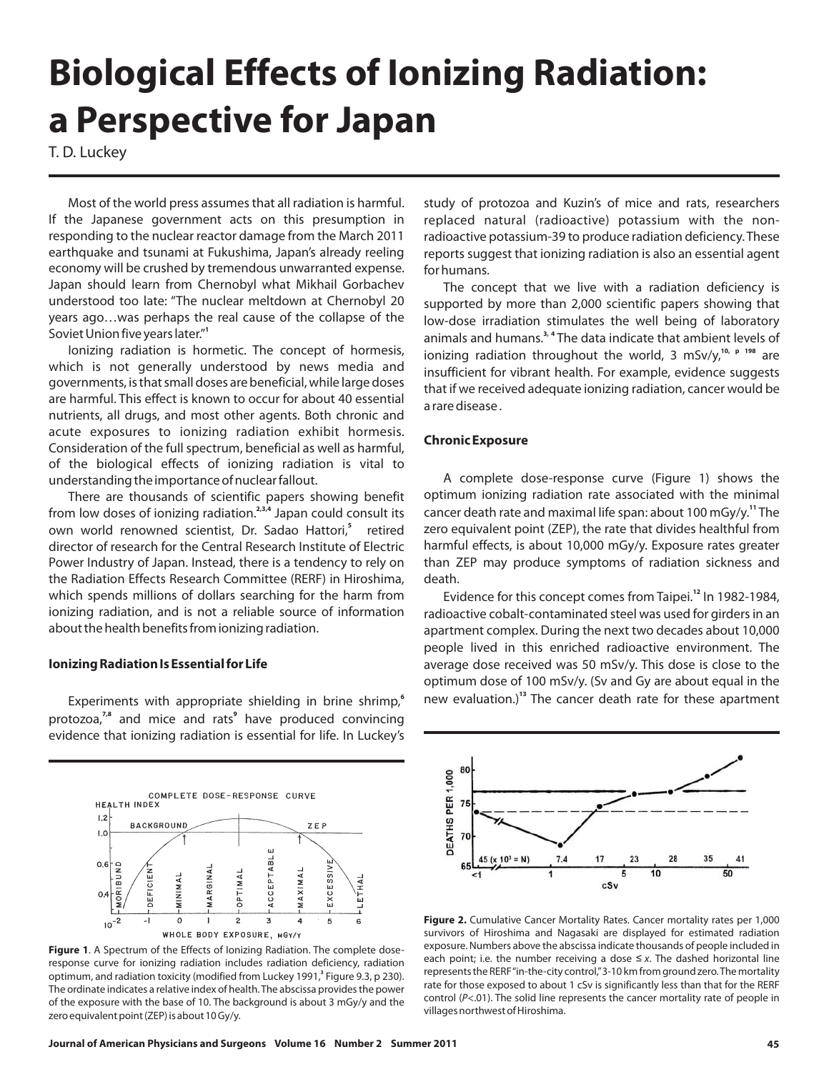# **Biological Effects of Ionizing Radiation: a Perspective for Japan**

T. D. Luckey

Most of the world press assumes that all radiation is harmful. If the Japanese government acts on th is presumption in responding to the nuclear reactor damage from the March 2011 earthquake and tsunami at Fukushima, Japan's already reeling economy will be crushed by tremendous unwarranted expense. Japan should learn from Chernobyl what Mikhail Gorbachev understood too late: "The nuclear meltdown at Chernobyl 20 years ago…was perhaps the real cause of the collapse of the Soviet Union five years later." **1**

Ionizing radiation is hormetic. The concept of hormesis, which is not generally understood by news media and governments, is that small doses are beneficial, while large doses are harmful. This effect is known to occur for about 40 essential nutrients, all drugs, and most other agents. Both chronic and acute exposures to ionizing radiation exhibit hormesis. Consideration of the full spectrum, beneficial as well as harmful, of the biological effects of ionizing radiation is vital to understanding the importance of nuclear fallout.

There are thousands of scientific papers showing benefit from low doses of ionizing radiation.<sup>2,3,4</sup> Japan could consult its own world renowned scientist, Dr. Sadao Hattori,<sup>5</sup> retired director of research for the Central Research Institute of Electric Power Industry of Japan. Instead, there is a tendency to rely on the Radiation Effects Research Committee (RERF) in Hiroshima, which spends millions of dollars searching for the harm from ionizing radiation, and is not a reliable source of information about the health benefits from ionizing radiation.

### **Ionizing Radiation Is Essential for Life**

Experiments with appropriate shielding in brine shrimp, **6** protozoa,<sup>7,8</sup> and mice and rats<sup>9</sup> have produced convincing evidence that ionizing radiation is essential for life. In Luckey's



**Figure 1**. A Spectrum of the Effects of Ionizing Radiation. The complete doseresponse curve for ionizing radiation includes radiation deficiency, radiation optimum, and radiation toxicity (modified from Luckey 1991,<sup>3</sup> Figure 9.3, p 230). The ordinate indicates a relative index of health. The abscissa provides the power of the exposure with the base of 10. The background is about 3 mGy/y and the zero equivalent point (ZEP) is about 10 Gy/y.

study of protozoa and Kuzin's of mice and rats, researchers replaced natural (radioactive) potassium with the nonradioactive potassium-39 to produce radiation deficiency. These reports suggest that ionizing radiation is also an essential agent for humans.

The concept that we live with a radiation deficiency is supported by more than 2,000 scientific papers showing that low-dose irradiation stimulates the well being of laboratory animals and humans.<sup>3, 4</sup> The data indicate that ambient levels of ionizing radiation throughout the world, 3 mSv/y,<sup>10, p 198</sup> are insufficient for vibrant health. For example, evidence suggests that if we received adequate ionizing radiation, cancer would be a rare disease .

## **Chronic Exposure**

A complete dose-response curve (Figure 1) shows the optimum ionizing radiation rate associated with the minimal cancer death rate and maximal life span: about 100 mGy/y.<sup>11</sup> The zero equivalent point (ZEP), the rate that divides healthful from harmful effects, is about 10,000 mGy/y. Exposure rates greater than ZEP may produce symptoms of radiation sickness and death.

Evidence for this concept comes from Taipei.<sup>12</sup> In 1982-1984, radioactive cobalt-contaminated steel was used for girders in an apartment complex. During the next two decades about 10,000 people lived in this enriched radioactive environment. The average dose received was 50 mSv/y. This dose is close to the optimum dose of 100 mSv/y. (Sv and Gy are about equal in the new evaluation.)<sup>13</sup> The cancer death rate for these apartment



**Figure 2.** Cumulative Cancer Mortality Rates. Cancer mortality rates per 1,000 survivors of Hiroshima and Nagasaki are displayed for estimated radiation exposure. Numbers above the abscissa indicate thousands of people included in each point; i.e. the number receiving a dose  $\leq$  *x*. The dashed horizontal line represents the RERF" in-the-city control,"3-10 km from ground zero.The mortality control (P<.01). The solid line represents the cancer mortality rate of people in villages northwest of Hiroshima. rate for those exposed to about 1 cSv is significantly less than that for the RERF